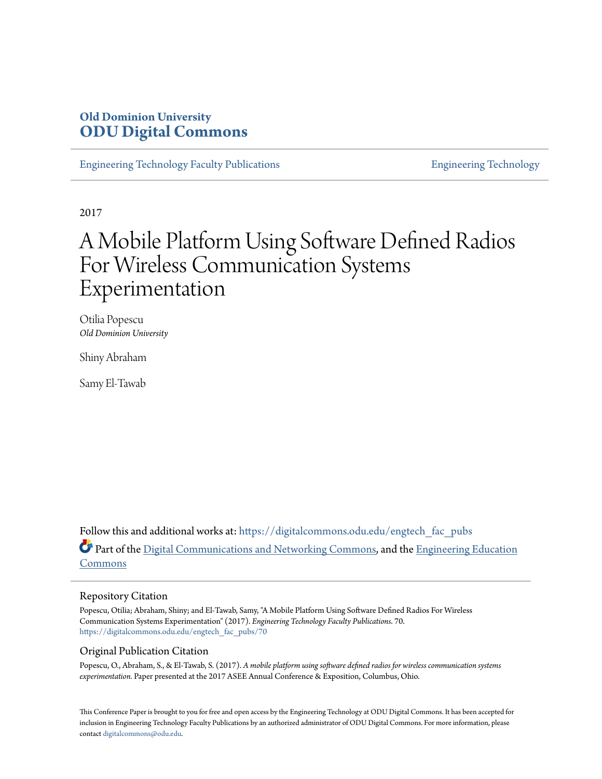# **Old Dominion University [ODU Digital Commons](https://digitalcommons.odu.edu?utm_source=digitalcommons.odu.edu%2Fengtech_fac_pubs%2F70&utm_medium=PDF&utm_campaign=PDFCoverPages)**

[Engineering Technology Faculty Publications](https://digitalcommons.odu.edu/engtech_fac_pubs?utm_source=digitalcommons.odu.edu%2Fengtech_fac_pubs%2F70&utm_medium=PDF&utm_campaign=PDFCoverPages) [Engineering Technology](https://digitalcommons.odu.edu/engtech?utm_source=digitalcommons.odu.edu%2Fengtech_fac_pubs%2F70&utm_medium=PDF&utm_campaign=PDFCoverPages)

2017

# A Mobile Platform Using Software Defined Radios For Wireless Communication Systems Experimentation

Otilia Popescu *Old Dominion University*

Shiny Abraham

Samy El-Tawab

Follow this and additional works at: [https://digitalcommons.odu.edu/engtech\\_fac\\_pubs](https://digitalcommons.odu.edu/engtech_fac_pubs?utm_source=digitalcommons.odu.edu%2Fengtech_fac_pubs%2F70&utm_medium=PDF&utm_campaign=PDFCoverPages) Part of the [Digital Communications and Networking Commons,](http://network.bepress.com/hgg/discipline/262?utm_source=digitalcommons.odu.edu%2Fengtech_fac_pubs%2F70&utm_medium=PDF&utm_campaign=PDFCoverPages) and the [Engineering Education](http://network.bepress.com/hgg/discipline/1191?utm_source=digitalcommons.odu.edu%2Fengtech_fac_pubs%2F70&utm_medium=PDF&utm_campaign=PDFCoverPages) [Commons](http://network.bepress.com/hgg/discipline/1191?utm_source=digitalcommons.odu.edu%2Fengtech_fac_pubs%2F70&utm_medium=PDF&utm_campaign=PDFCoverPages)

#### Repository Citation

Popescu, Otilia; Abraham, Shiny; and El-Tawab, Samy, "A Mobile Platform Using Software Defined Radios For Wireless Communication Systems Experimentation" (2017). *Engineering Technology Faculty Publications*. 70. [https://digitalcommons.odu.edu/engtech\\_fac\\_pubs/70](https://digitalcommons.odu.edu/engtech_fac_pubs/70?utm_source=digitalcommons.odu.edu%2Fengtech_fac_pubs%2F70&utm_medium=PDF&utm_campaign=PDFCoverPages)

#### Original Publication Citation

Popescu, O., Abraham, S., & El-Tawab, S. (2017). *A mobile platform using software defined radios for wireless communication systems experimentation.* Paper presented at the 2017 ASEE Annual Conference & Exposition, Columbus, Ohio.

This Conference Paper is brought to you for free and open access by the Engineering Technology at ODU Digital Commons. It has been accepted for inclusion in Engineering Technology Faculty Publications by an authorized administrator of ODU Digital Commons. For more information, please contact [digitalcommons@odu.edu](mailto:digitalcommons@odu.edu).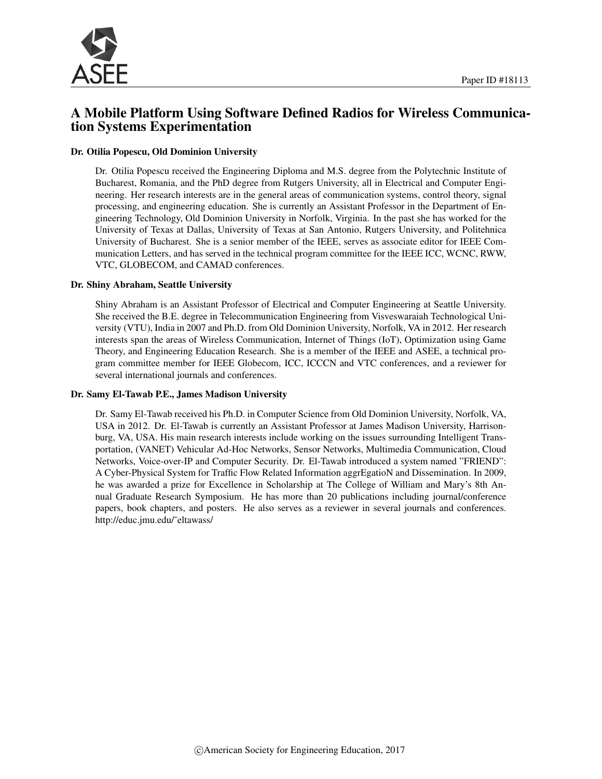

# A Mobile Platform Using Software Defined Radios for Wireless Communication Systems Experimentation

#### Dr. Otilia Popescu, Old Dominion University

Dr. Otilia Popescu received the Engineering Diploma and M.S. degree from the Polytechnic Institute of Bucharest, Romania, and the PhD degree from Rutgers University, all in Electrical and Computer Engineering. Her research interests are in the general areas of communication systems, control theory, signal processing, and engineering education. She is currently an Assistant Professor in the Department of Engineering Technology, Old Dominion University in Norfolk, Virginia. In the past she has worked for the University of Texas at Dallas, University of Texas at San Antonio, Rutgers University, and Politehnica University of Bucharest. She is a senior member of the IEEE, serves as associate editor for IEEE Communication Letters, and has served in the technical program committee for the IEEE ICC, WCNC, RWW, VTC, GLOBECOM, and CAMAD conferences.

#### Dr. Shiny Abraham, Seattle University

Shiny Abraham is an Assistant Professor of Electrical and Computer Engineering at Seattle University. She received the B.E. degree in Telecommunication Engineering from Visveswaraiah Technological University (VTU), India in 2007 and Ph.D. from Old Dominion University, Norfolk, VA in 2012. Her research interests span the areas of Wireless Communication, Internet of Things (IoT), Optimization using Game Theory, and Engineering Education Research. She is a member of the IEEE and ASEE, a technical program committee member for IEEE Globecom, ICC, ICCCN and VTC conferences, and a reviewer for several international journals and conferences.

#### Dr. Samy El-Tawab P.E., James Madison University

Dr. Samy El-Tawab received his Ph.D. in Computer Science from Old Dominion University, Norfolk, VA, USA in 2012. Dr. El-Tawab is currently an Assistant Professor at James Madison University, Harrisonburg, VA, USA. His main research interests include working on the issues surrounding Intelligent Transportation, (VANET) Vehicular Ad-Hoc Networks, Sensor Networks, Multimedia Communication, Cloud Networks, Voice-over-IP and Computer Security. Dr. El-Tawab introduced a system named "FRIEND": A Cyber-Physical System for Traffic Flow Related Information aggrEgatioN and Dissemination. In 2009, he was awarded a prize for Excellence in Scholarship at The College of William and Mary's 8th Annual Graduate Research Symposium. He has more than 20 publications including journal/conference papers, book chapters, and posters. He also serves as a reviewer in several journals and conferences. http://educ.jmu.edu/˜eltawass/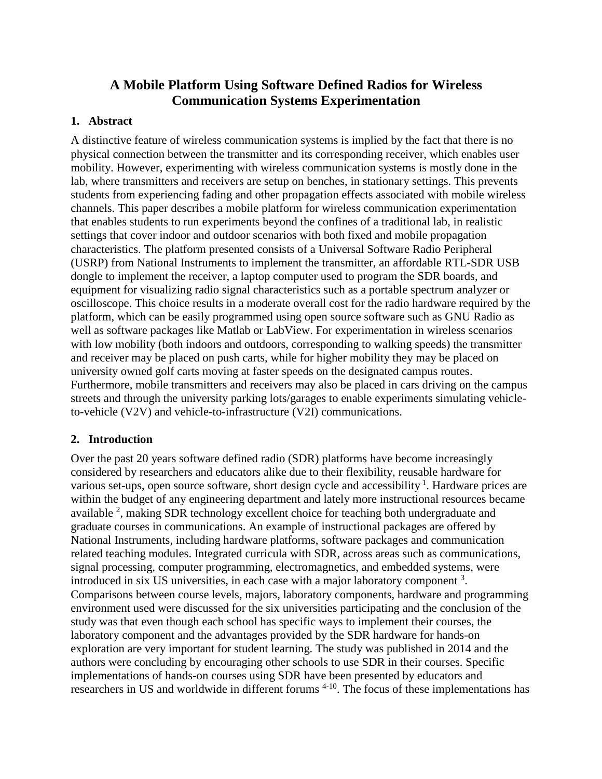# **A Mobile Platform Using Software Defined Radios for Wireless Communication Systems Experimentation**

## **1. Abstract**

A distinctive feature of wireless communication systems is implied by the fact that there is no physical connection between the transmitter and its corresponding receiver, which enables user mobility. However, experimenting with wireless communication systems is mostly done in the lab, where transmitters and receivers are setup on benches, in stationary settings. This prevents students from experiencing fading and other propagation effects associated with mobile wireless channels. This paper describes a mobile platform for wireless communication experimentation that enables students to run experiments beyond the confines of a traditional lab, in realistic settings that cover indoor and outdoor scenarios with both fixed and mobile propagation characteristics. The platform presented consists of a Universal Software Radio Peripheral (USRP) from National Instruments to implement the transmitter, an affordable RTL-SDR USB dongle to implement the receiver, a laptop computer used to program the SDR boards, and equipment for visualizing radio signal characteristics such as a portable spectrum analyzer or oscilloscope. This choice results in a moderate overall cost for the radio hardware required by the platform, which can be easily programmed using open source software such as GNU Radio as well as software packages like Matlab or LabView. For experimentation in wireless scenarios with low mobility (both indoors and outdoors, corresponding to walking speeds) the transmitter and receiver may be placed on push carts, while for higher mobility they may be placed on university owned golf carts moving at faster speeds on the designated campus routes. Furthermore, mobile transmitters and receivers may also be placed in cars driving on the campus streets and through the university parking lots/garages to enable experiments simulating vehicleto-vehicle (V2V) and vehicle-to-infrastructure (V2I) communications.

### **2. Introduction**

Over the past 20 years software defined radio (SDR) platforms have become increasingly considered by researchers and educators alike due to their flexibility, reusable hardware for various set-ups, open source software, short design cycle and accessibility  $\frac{1}{1}$ . Hardware prices are within the budget of any engineering department and lately more instructional resources became available  $2$ , making SDR technology excellent choice for teaching both undergraduate and graduate courses in communications. An example of instructional packages are offered by National Instruments, including hardware platforms, software packages and communication related teaching modules. Integrated curricula with SDR, across areas such as communications, signal processing, computer programming, electromagnetics, and embedded systems, were introduced in six US universities, in each case with a major laboratory component  $3$ . Comparisons between course levels, majors, laboratory components, hardware and programming environment used were discussed for the six universities participating and the conclusion of the study was that even though each school has specific ways to implement their courses, the laboratory component and the advantages provided by the SDR hardware for hands-on exploration are very important for student learning. The study was published in 2014 and the authors were concluding by encouraging other schools to use SDR in their courses. Specific implementations of hands-on courses using SDR have been presented by educators and researchers in US and worldwide in different forums <sup>4-10</sup>. The focus of these implementations has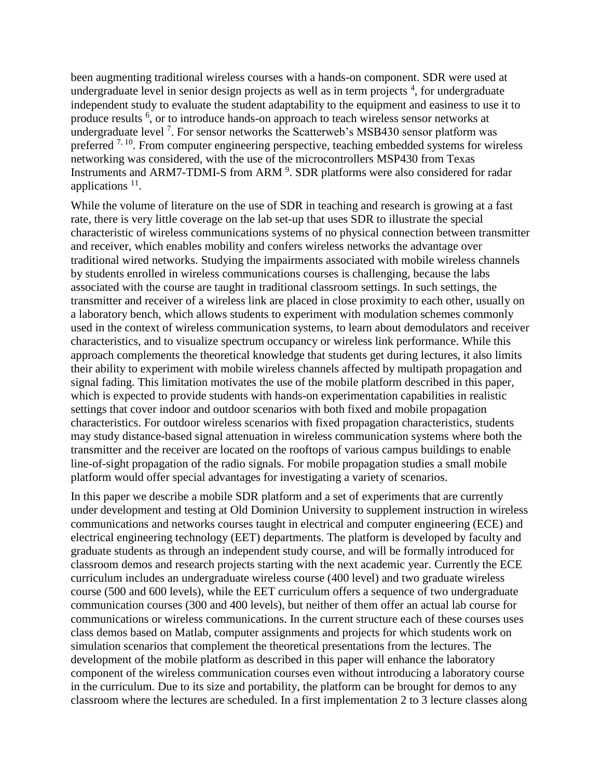been augmenting traditional wireless courses with a hands-on component. SDR were used at undergraduate level in senior design projects as well as in term projects  $4$ , for undergraduate independent study to evaluate the student adaptability to the equipment and easiness to use it to produce results <sup>6</sup>, or to introduce hands-on approach to teach wireless sensor networks at undergraduate level<sup>7</sup>. For sensor networks the Scatterweb's MSB430 sensor platform was preferred  $^{7, 10}$ . From computer engineering perspective, teaching embedded systems for wireless networking was considered, with the use of the microcontrollers MSP430 from Texas Instruments and ARM7-TDMI-S from ARM<sup>9</sup>. SDR platforms were also considered for radar applications<sup>11</sup>.

While the volume of literature on the use of SDR in teaching and research is growing at a fast rate, there is very little coverage on the lab set-up that uses SDR to illustrate the special characteristic of wireless communications systems of no physical connection between transmitter and receiver, which enables mobility and confers wireless networks the advantage over traditional wired networks. Studying the impairments associated with mobile wireless channels by students enrolled in wireless communications courses is challenging, because the labs associated with the course are taught in traditional classroom settings. In such settings, the transmitter and receiver of a wireless link are placed in close proximity to each other, usually on a laboratory bench, which allows students to experiment with modulation schemes commonly used in the context of wireless communication systems, to learn about demodulators and receiver characteristics, and to visualize spectrum occupancy or wireless link performance. While this approach complements the theoretical knowledge that students get during lectures, it also limits their ability to experiment with mobile wireless channels affected by multipath propagation and signal fading. This limitation motivates the use of the mobile platform described in this paper, which is expected to provide students with hands-on experimentation capabilities in realistic settings that cover indoor and outdoor scenarios with both fixed and mobile propagation characteristics. For outdoor wireless scenarios with fixed propagation characteristics, students may study distance-based signal attenuation in wireless communication systems where both the transmitter and the receiver are located on the rooftops of various campus buildings to enable line-of-sight propagation of the radio signals. For mobile propagation studies a small mobile platform would offer special advantages for investigating a variety of scenarios.

In this paper we describe a mobile SDR platform and a set of experiments that are currently under development and testing at Old Dominion University to supplement instruction in wireless communications and networks courses taught in electrical and computer engineering (ECE) and electrical engineering technology (EET) departments. The platform is developed by faculty and graduate students as through an independent study course, and will be formally introduced for classroom demos and research projects starting with the next academic year. Currently the ECE curriculum includes an undergraduate wireless course (400 level) and two graduate wireless course (500 and 600 levels), while the EET curriculum offers a sequence of two undergraduate communication courses (300 and 400 levels), but neither of them offer an actual lab course for communications or wireless communications. In the current structure each of these courses uses class demos based on Matlab, computer assignments and projects for which students work on simulation scenarios that complement the theoretical presentations from the lectures. The development of the mobile platform as described in this paper will enhance the laboratory component of the wireless communication courses even without introducing a laboratory course in the curriculum. Due to its size and portability, the platform can be brought for demos to any classroom where the lectures are scheduled. In a first implementation 2 to 3 lecture classes along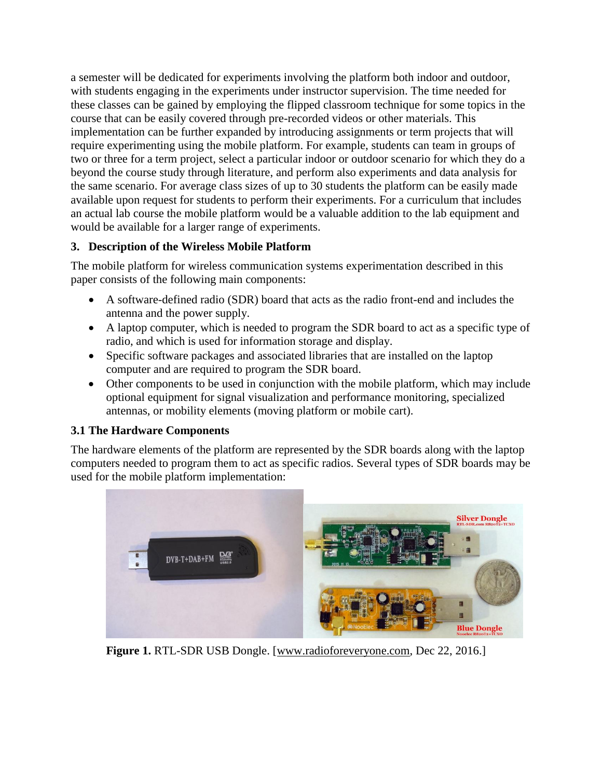a semester will be dedicated for experiments involving the platform both indoor and outdoor, with students engaging in the experiments under instructor supervision. The time needed for these classes can be gained by employing the flipped classroom technique for some topics in the course that can be easily covered through pre-recorded videos or other materials. This implementation can be further expanded by introducing assignments or term projects that will require experimenting using the mobile platform. For example, students can team in groups of two or three for a term project, select a particular indoor or outdoor scenario for which they do a beyond the course study through literature, and perform also experiments and data analysis for the same scenario. For average class sizes of up to 30 students the platform can be easily made available upon request for students to perform their experiments. For a curriculum that includes an actual lab course the mobile platform would be a valuable addition to the lab equipment and would be available for a larger range of experiments.

## **3. Description of the Wireless Mobile Platform**

The mobile platform for wireless communication systems experimentation described in this paper consists of the following main components:

- A software-defined radio (SDR) board that acts as the radio front-end and includes the antenna and the power supply.
- A laptop computer, which is needed to program the SDR board to act as a specific type of radio, and which is used for information storage and display.
- Specific software packages and associated libraries that are installed on the laptop computer and are required to program the SDR board.
- Other components to be used in conjunction with the mobile platform, which may include optional equipment for signal visualization and performance monitoring, specialized antennas, or mobility elements (moving platform or mobile cart).

# **3.1 The Hardware Components**

The hardware elements of the platform are represented by the SDR boards along with the laptop computers needed to program them to act as specific radios. Several types of SDR boards may be used for the mobile platform implementation:

<span id="page-4-0"></span>

Figure 1. RTL-SDR USB Dongle. [\[www.radioforeveryone.com,](http://www.radioforeveryone.com/) Dec 22, 2016.]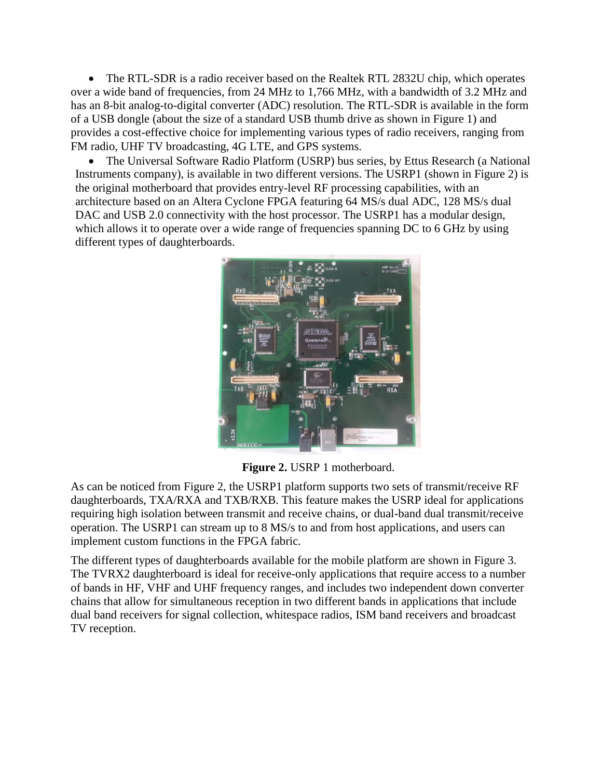The RTL-SDR is a radio receiver based on the Realtek RTL 2832U chip, which operates over a wide band of frequencies, from 24 MHz to 1,766 MHz, with a bandwidth of 3.2 MHz and has an 8-bit analog-to-digital converter (ADC) resolution. The RTL-SDR is available in the form of a USB dongle (about the size of a standard USB thumb drive as shown in [Figure 1\)](#page-4-0) and provides a cost-effective choice for implementing various types of radio receivers, ranging from FM radio, UHF TV broadcasting, 4G LTE, and GPS systems.

• The Universal Software Radio Platform (USRP) bus series, by Ettus Research (a National Instruments company), is available in two different versions. The USRP1 (shown in [Figure 2\)](#page-5-0) is the original motherboard that provides entry-level RF processing capabilities, with an architecture based on an Altera Cyclone FPGA featuring 64 MS/s dual ADC, 128 MS/s dual DAC and USB 2.0 connectivity with the host processor. The USRP1 has a modular design, which allows it to operate over a wide range of frequencies spanning DC to 6 GHz by using different types of daughterboards.



**Figure 2.** USRP 1 motherboard.

<span id="page-5-0"></span>As can be noticed from Figure 2, the USRP1 platform supports two sets of transmit/receive RF daughterboards, TXA/RXA and TXB/RXB. This feature makes the USRP ideal for applications requiring high isolation between transmit and receive chains, or dual-band dual transmit/receive operation. The USRP1 can stream up to 8 MS/s to and from host applications, and users can implement custom functions in the FPGA fabric.

The different types of daughterboards available for the mobile platform are shown in [Figure 3.](#page-6-0) The TVRX2 daughterboard is ideal for receive-only applications that require access to a number of bands in HF, VHF and UHF frequency ranges, and includes two independent down converter chains that allow for simultaneous reception in two different bands in applications that include dual band receivers for signal collection, whitespace radios, ISM band receivers and broadcast TV reception.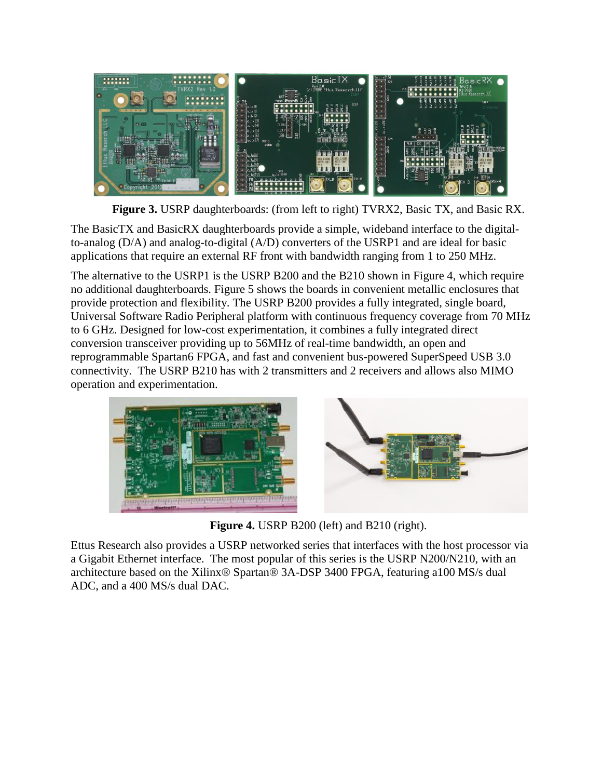

**Figure 3.** USRP daughterboards: (from left to right) TVRX2, Basic TX, and Basic RX.

<span id="page-6-0"></span>The BasicTX and BasicRX daughterboards provide a simple, wideband interface to the digitalto-analog (D/A) and analog-to-digital (A/D) converters of the USRP1 and are ideal for basic applications that require an external RF front with bandwidth ranging from 1 to 250 MHz.

The alternative to the USRP1 is the USRP B200 and the B210 shown in [Figure 4,](#page-6-1) which require no additional daughterboards. Figure 5 shows the boards in convenient metallic enclosures that provide protection and flexibility. The USRP B200 provides a fully integrated, single board, Universal Software Radio Peripheral platform with continuous frequency coverage from 70 MHz to 6 GHz. Designed for low-cost experimentation, it combines a fully integrated direct conversion transceiver providing up to 56MHz of real-time bandwidth, an open and reprogrammable Spartan6 FPGA, and fast and convenient bus-powered SuperSpeed USB 3.0 connectivity. The USRP B210 has with 2 transmitters and 2 receivers and allows also MIMO operation and experimentation.



**Figure 4.** USRP B200 (left) and B210 (right).

<span id="page-6-1"></span>Ettus Research also provides a USRP networked series that interfaces with the host processor via a Gigabit Ethernet interface. The most popular of this series is the USRP N200/N210, with an architecture based on the Xilinx® Spartan® 3A-DSP 3400 FPGA, featuring a100 MS/s dual ADC, and a 400 MS/s dual DAC.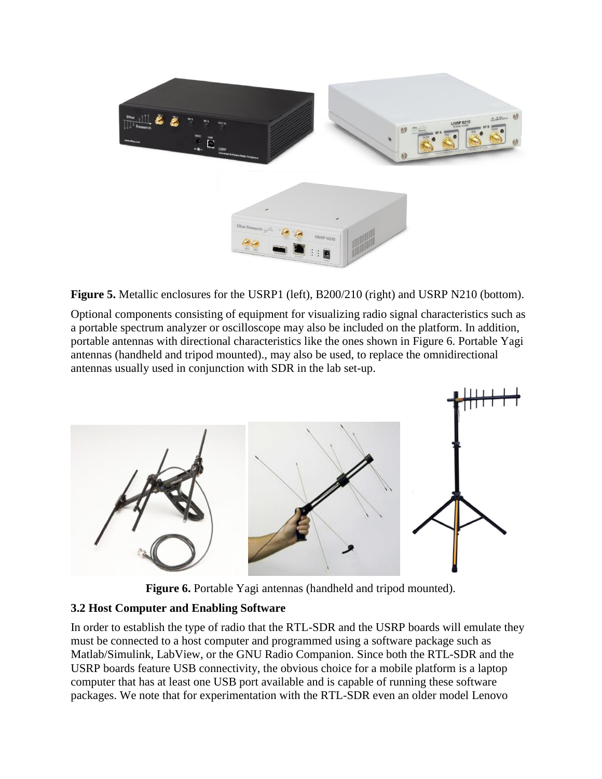

**Figure 5.** Metallic enclosures for the USRP1 (left), B200/210 (right) and USRP N210 (bottom).

Optional components consisting of equipment for visualizing radio signal characteristics such as a portable spectrum analyzer or oscilloscope may also be included on the platform. In addition, portable antennas with directional characteristics like the ones shown in Figure 6. [Portable Yagi](#page-7-0)  [antennas \(handheld and tripod mounted\).,](#page-7-0) may also be used, to replace the omnidirectional antennas usually used in conjunction with SDR in the lab set-up.



**Figure 6.** Portable Yagi antennas (handheld and tripod mounted).

### <span id="page-7-0"></span>**3.2 Host Computer and Enabling Software**

In order to establish the type of radio that the RTL-SDR and the USRP boards will emulate they must be connected to a host computer and programmed using a software package such as Matlab/Simulink, LabView, or the GNU Radio Companion. Since both the RTL-SDR and the USRP boards feature USB connectivity, the obvious choice for a mobile platform is a laptop computer that has at least one USB port available and is capable of running these software packages. We note that for experimentation with the RTL-SDR even an older model Lenovo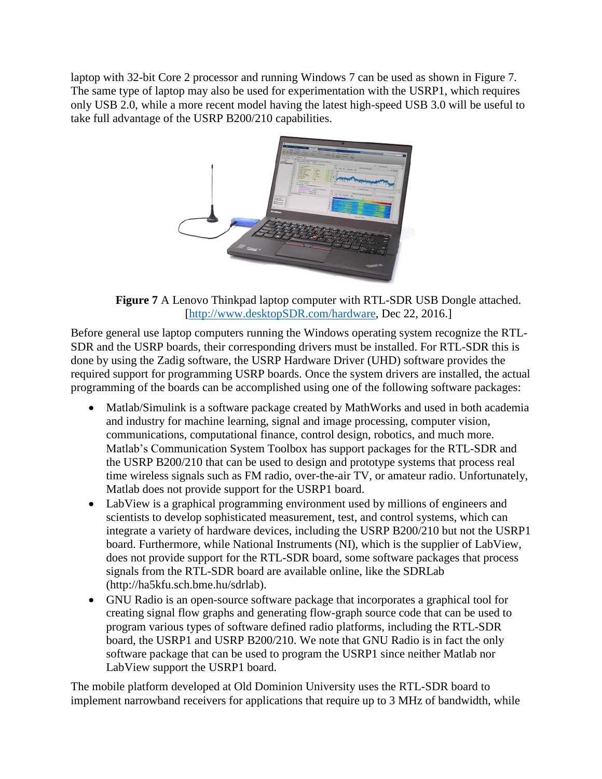laptop with 32-bit Core 2 processor and running Windows 7 can be used as shown in [Figure 7.](#page-8-0) The same type of laptop may also be used for experimentation with the USRP1, which requires only USB 2.0, while a more recent model having the latest high-speed USB 3.0 will be useful to take full advantage of the USRP B200/210 capabilities.



**Figure 7** A Lenovo Thinkpad laptop computer with RTL-SDR USB Dongle attached. [\[http://www.desktopSDR.com/hardware,](http://www.desktopsdr.com/hardware) Dec 22, 2016.]

<span id="page-8-0"></span>Before general use laptop computers running the Windows operating system recognize the RTL-SDR and the USRP boards, their corresponding drivers must be installed. For RTL-SDR this is done by using the Zadig software, the USRP Hardware Driver (UHD) software provides the required support for programming USRP boards. Once the system drivers are installed, the actual programming of the boards can be accomplished using one of the following software packages:

- Matlab/Simulink is a software package created by MathWorks and used in both academia and industry for machine learning, signal and image processing, computer vision, communications, computational finance, control design, robotics, and much more. Matlab's Communication System Toolbox has support packages for the RTL-SDR and the USRP B200/210 that can be used to design and prototype systems that process real time wireless signals such as FM radio, over-the-air TV, or amateur radio. Unfortunately, Matlab does not provide support for the USRP1 board.
- LabView is a graphical programming environment used by millions of engineers and scientists to develop sophisticated measurement, test, and control systems, which can integrate a variety of hardware devices, including the USRP B200/210 but not the USRP1 board. Furthermore, while National Instruments (NI), which is the supplier of LabView, does not provide support for the RTL-SDR board, some software packages that process signals from the RTL-SDR board are available online, like the SDRLab (http://ha5kfu.sch.bme.hu/sdrlab).
- GNU Radio is an open-source software package that incorporates a graphical tool for creating signal flow graphs and generating flow-graph source code that can be used to program various types of software defined radio platforms, including the RTL-SDR board, the USRP1 and USRP B200/210. We note that GNU Radio is in fact the only software package that can be used to program the USRP1 since neither Matlab nor LabView support the USRP1 board.

The mobile platform developed at Old Dominion University uses the RTL-SDR board to implement narrowband receivers for applications that require up to 3 MHz of bandwidth, while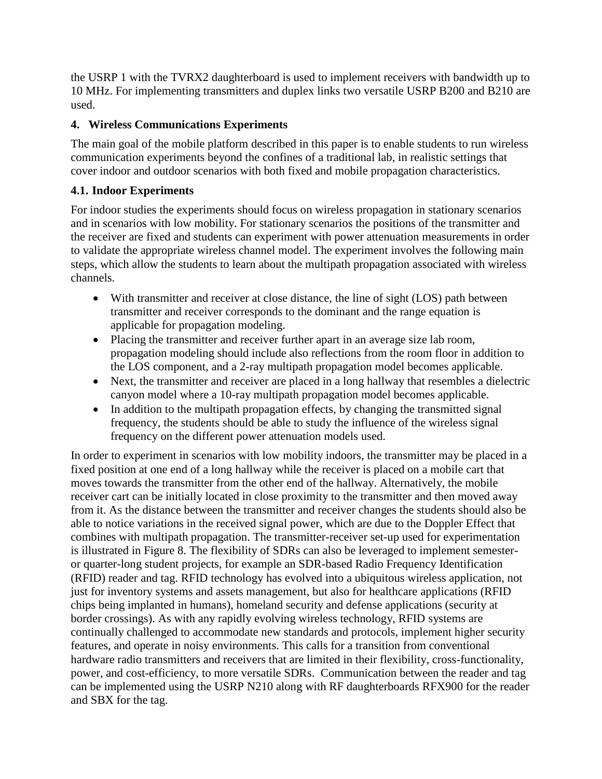the USRP 1 with the TVRX2 daughterboard is used to implement receivers with bandwidth up to 10 MHz. For implementing transmitters and duplex links two versatile USRP B200 and B210 are used.

# **4. Wireless Communications Experiments**

The main goal of the mobile platform described in this paper is to enable students to run wireless communication experiments beyond the confines of a traditional lab, in realistic settings that cover indoor and outdoor scenarios with both fixed and mobile propagation characteristics.

## **4.1. Indoor Experiments**

For indoor studies the experiments should focus on wireless propagation in stationary scenarios and in scenarios with low mobility. For stationary scenarios the positions of the transmitter and the receiver are fixed and students can experiment with power attenuation measurements in order to validate the appropriate wireless channel model. The experiment involves the following main steps, which allow the students to learn about the multipath propagation associated with wireless channels.

- With transmitter and receiver at close distance, the line of sight (LOS) path between transmitter and receiver corresponds to the dominant and the range equation is applicable for propagation modeling.
- Placing the transmitter and receiver further apart in an average size lab room, propagation modeling should include also reflections from the room floor in addition to the LOS component, and a 2-ray multipath propagation model becomes applicable.
- Next, the transmitter and receiver are placed in a long hallway that resembles a dielectric canyon model where a 10-ray multipath propagation model becomes applicable.
- In addition to the multipath propagation effects, by changing the transmitted signal frequency, the students should be able to study the influence of the wireless signal frequency on the different power attenuation models used.

In order to experiment in scenarios with low mobility indoors, the transmitter may be placed in a fixed position at one end of a long hallway while the receiver is placed on a mobile cart that moves towards the transmitter from the other end of the hallway. Alternatively, the mobile receiver cart can be initially located in close proximity to the transmitter and then moved away from it. As the distance between the transmitter and receiver changes the students should also be able to notice variations in the received signal power, which are due to the Doppler Effect that combines with multipath propagation. The transmitter-receiver set-up used for experimentation is illustrated in Figure 8. The flexibility of SDRs can also be leveraged to implement semesteror quarter-long student projects, for example an SDR-based Radio Frequency Identification (RFID) reader and tag. RFID technology has evolved into a ubiquitous wireless application, not just for inventory systems and assets management, but also for healthcare applications (RFID chips being implanted in humans), homeland security and defense applications (security at border crossings). As with any rapidly evolving wireless technology, RFID systems are continually challenged to accommodate new standards and protocols, implement higher security features, and operate in noisy environments. This calls for a transition from conventional hardware radio transmitters and receivers that are limited in their flexibility, cross-functionality, power, and cost-efficiency, to more versatile SDRs. Communication between the reader and tag can be implemented using the USRP N210 along with RF daughterboards RFX900 for the reader and SBX for the tag.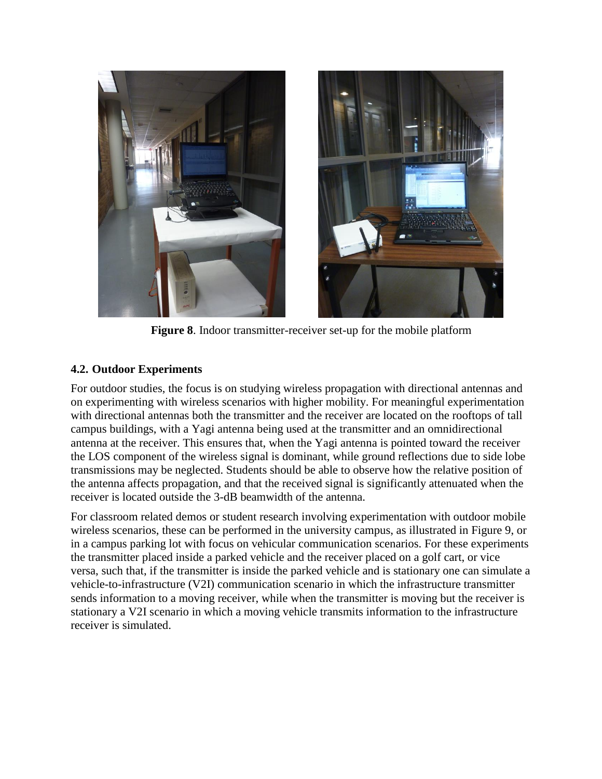

**Figure 8**. Indoor transmitter-receiver set-up for the mobile platform

## **4.2. Outdoor Experiments**

For outdoor studies, the focus is on studying wireless propagation with directional antennas and on experimenting with wireless scenarios with higher mobility. For meaningful experimentation with directional antennas both the transmitter and the receiver are located on the rooftops of tall campus buildings, with a Yagi antenna being used at the transmitter and an omnidirectional antenna at the receiver. This ensures that, when the Yagi antenna is pointed toward the receiver the LOS component of the wireless signal is dominant, while ground reflections due to side lobe transmissions may be neglected. Students should be able to observe how the relative position of the antenna affects propagation, and that the received signal is significantly attenuated when the receiver is located outside the 3-dB beamwidth of the antenna.

For classroom related demos or student research involving experimentation with outdoor mobile wireless scenarios, these can be performed in the university campus, as illustrated in Figure 9, or in a campus parking lot with focus on vehicular communication scenarios. For these experiments the transmitter placed inside a parked vehicle and the receiver placed on a golf cart, or vice versa, such that, if the transmitter is inside the parked vehicle and is stationary one can simulate a vehicle-to-infrastructure (V2I) communication scenario in which the infrastructure transmitter sends information to a moving receiver, while when the transmitter is moving but the receiver is stationary a V2I scenario in which a moving vehicle transmits information to the infrastructure receiver is simulated.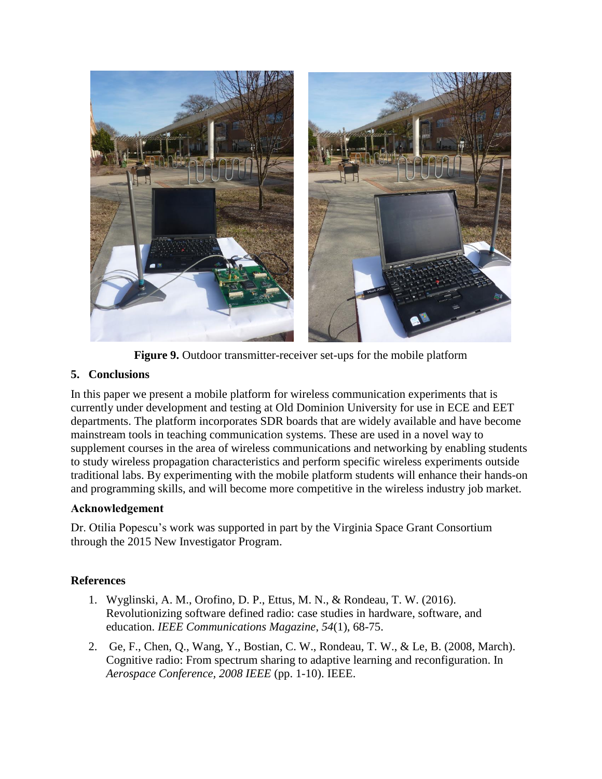

**Figure 9.** Outdoor transmitter-receiver set-ups for the mobile platform

# **5. Conclusions**

In this paper we present a mobile platform for wireless communication experiments that is currently under development and testing at Old Dominion University for use in ECE and EET departments. The platform incorporates SDR boards that are widely available and have become mainstream tools in teaching communication systems. These are used in a novel way to supplement courses in the area of wireless communications and networking by enabling students to study wireless propagation characteristics and perform specific wireless experiments outside traditional labs. By experimenting with the mobile platform students will enhance their hands-on and programming skills, and will become more competitive in the wireless industry job market.

# **Acknowledgement**

Dr. Otilia Popescu's work was supported in part by the Virginia Space Grant Consortium through the 2015 New Investigator Program.

# **References**

- 1. Wyglinski, A. M., Orofino, D. P., Ettus, M. N., & Rondeau, T. W. (2016). Revolutionizing software defined radio: case studies in hardware, software, and education. *IEEE Communications Magazine*, *54*(1), 68-75.
- 2. Ge, F., Chen, Q., Wang, Y., Bostian, C. W., Rondeau, T. W., & Le, B. (2008, March). Cognitive radio: From spectrum sharing to adaptive learning and reconfiguration. In *Aerospace Conference, 2008 IEEE* (pp. 1-10). IEEE.